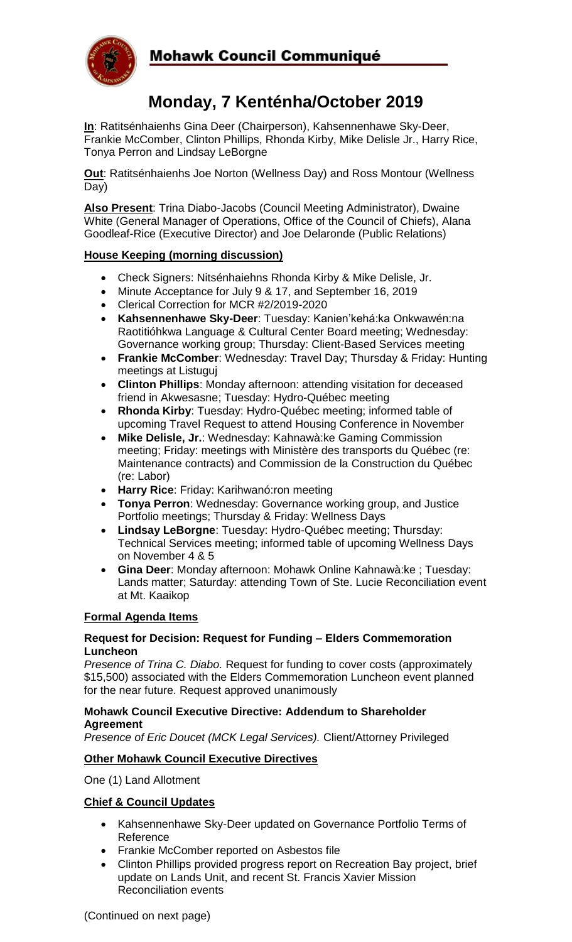

### Mohawk Council Communiqué

# **Monday, 7 Kenténha/October 2019**

**In**: Ratitsénhaienhs Gina Deer (Chairperson), Kahsennenhawe Sky-Deer, Frankie McComber, Clinton Phillips, Rhonda Kirby, Mike Delisle Jr., Harry Rice, Tonya Perron and Lindsay LeBorgne

**Out**: Ratitsénhaienhs Joe Norton (Wellness Day) and Ross Montour (Wellness Day)

**Also Present**: Trina Diabo-Jacobs (Council Meeting Administrator), Dwaine White (General Manager of Operations, Office of the Council of Chiefs), Alana Goodleaf-Rice (Executive Director) and Joe Delaronde (Public Relations)

#### **House Keeping (morning discussion)**

- Check Signers: Nitsénhaiehns Rhonda Kirby & Mike Delisle, Jr.
- Minute Acceptance for July 9 & 17, and September 16, 2019
- Clerical Correction for MCR #2/2019-2020
- **Kahsennenhawe Sky-Deer**: Tuesday: Kanien'kehá:ka Onkwawén:na Raotitióhkwa Language & Cultural Center Board meeting; Wednesday: Governance working group; Thursday: Client-Based Services meeting
- **Frankie McComber**: Wednesday: Travel Day; Thursday & Friday: Hunting meetings at Listuguj
- **Clinton Phillips**: Monday afternoon: attending visitation for deceased friend in Akwesasne; Tuesday: Hydro-Québec meeting
- **Rhonda Kirby**: Tuesday: Hydro-Québec meeting; informed table of upcoming Travel Request to attend Housing Conference in November
- **Mike Delisle, Jr.**: Wednesday: Kahnawà:ke Gaming Commission meeting; Friday: meetings with Ministère des transports du Québec (re: Maintenance contracts) and Commission de la Construction du Québec (re: Labor)
- **Harry Rice**: Friday: Karihwanó:ron meeting
- **Tonya Perron**: Wednesday: Governance working group, and Justice Portfolio meetings; Thursday & Friday: Wellness Days
- **Lindsay LeBorgne**: Tuesday: Hydro-Québec meeting; Thursday: Technical Services meeting; informed table of upcoming Wellness Days on November 4 & 5
- **Gina Deer**: Monday afternoon: Mohawk Online Kahnawà:ke ; Tuesday: Lands matter; Saturday: attending Town of Ste. Lucie Reconciliation event at Mt. Kaaikop

#### **Formal Agenda Items**

#### **Request for Decision: Request for Funding – Elders Commemoration Luncheon**

*Presence of Trina C. Diabo.* Request for funding to cover costs (approximately \$15,500) associated with the Elders Commemoration Luncheon event planned for the near future. Request approved unanimously

#### **Mohawk Council Executive Directive: Addendum to Shareholder Agreement**

*Presence of Eric Doucet (MCK Legal Services).* Client/Attorney Privileged

#### **Other Mohawk Council Executive Directives**

One (1) Land Allotment

#### **Chief & Council Updates**

- Kahsennenhawe Sky-Deer updated on Governance Portfolio Terms of Reference
- Frankie McComber reported on Asbestos file
- Clinton Phillips provided progress report on Recreation Bay project, brief update on Lands Unit, and recent St. Francis Xavier Mission Reconciliation events